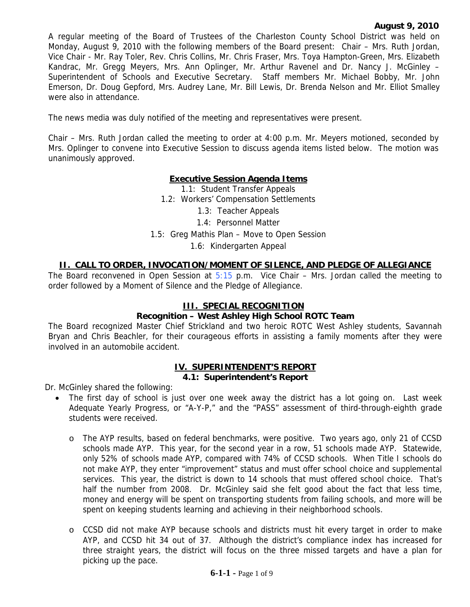A regular meeting of the Board of Trustees of the Charleston County School District was held on Monday, August 9, 2010 with the following members of the Board present: Chair – Mrs. Ruth Jordan, Vice Chair - Mr. Ray Toler, Rev. Chris Collins, Mr. Chris Fraser, Mrs. Toya Hampton-Green, Mrs. Elizabeth Kandrac, Mr. Gregg Meyers, Mrs. Ann Oplinger, Mr. Arthur Ravenel and Dr. Nancy J. McGinley – Superintendent of Schools and Executive Secretary. Staff members Mr. Michael Bobby, Mr. John Emerson, Dr. Doug Gepford, Mrs. Audrey Lane, Mr. Bill Lewis, Dr. Brenda Nelson and Mr. Elliot Smalley were also in attendance.

The news media was duly notified of the meeting and representatives were present.

Chair – Mrs. Ruth Jordan called the meeting to order at 4:00 p.m. Mr. Meyers motioned, seconded by Mrs. Oplinger to convene into Executive Session to discuss agenda items listed below. The motion was unanimously approved.

# **Executive Session Agenda Items**

1.1: Student Transfer Appeals 1.2: Workers' Compensation Settlements 1.3: Teacher Appeals 1.4: Personnel Matter 1.5: Greg Mathis Plan – Move to Open Session 1.6: Kindergarten Appeal

### **II. CALL TO ORDER, INVOCATION/MOMENT OF SILENCE, AND PLEDGE OF ALLEGIANCE**

The Board reconvened in Open Session at  $5:15$  p.m. Vice Chair – Mrs. Jordan called the meeting to order followed by a Moment of Silence and the Pledge of Allegiance.

#### **III. SPECIAL RECOGNITION**

#### **Recognition – West Ashley High School ROTC Team**

The Board recognized Master Chief Strickland and two heroic ROTC West Ashley students, Savannah Bryan and Chris Beachler, for their courageous efforts in assisting a family moments after they were involved in an automobile accident.

#### **IV. SUPERINTENDENT'S REPORT 4.1: Superintendent's Report**

Dr. McGinley shared the following:

- The first day of school is just over one week away the district has a lot going on. Last week Adequate Yearly Progress, or "A-Y-P," and the "PASS" assessment of third-through-eighth grade students were received.
	- o The AYP results, based on federal benchmarks, were positive. Two years ago, only 21 of CCSD schools made AYP. This year, for the second year in a row, 51 schools made AYP. Statewide, only 52% of schools made AYP, compared with 74% of CCSD schools. When Title I schools do not make AYP, they enter "improvement" status and must offer school choice and supplemental services. This year, the district is down to 14 schools that must offered school choice. That's half the number from 2008. Dr. McGinley said she felt good about the fact that less time, money and energy will be spent on transporting students from failing schools, and more will be spent on keeping students learning and achieving in their neighborhood schools.
	- o CCSD did not make AYP because schools and districts must hit every target in order to make AYP, and CCSD hit 34 out of 37. Although the district's compliance index has increased for three straight years, the district will focus on the three missed targets and have a plan for picking up the pace.

#### **6-1-1 -** Page 1 of 9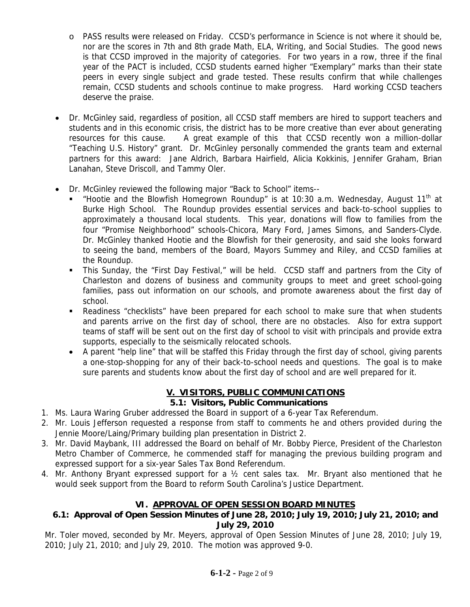- o PASS results were released on Friday. CCSD's performance in Science is not where it should be, nor are the scores in 7th and 8th grade Math, ELA, Writing, and Social Studies. The good news is that CCSD improved in the majority of categories. For two years in a row, three if the final year of the PACT is included, CCSD students earned higher "Exemplary" marks than their state peers in every single subject and grade tested. These results confirm that while challenges remain, CCSD students and schools continue to make progress. Hard working CCSD teachers deserve the praise.
- Dr. McGinley said, regardless of position, all CCSD staff members are hired to support teachers and students and in this economic crisis, the district has to be more creative than ever about generating resources for this cause. A great example of this that CCSD recently won a million-dollar "Teaching U.S. History" grant. Dr. McGinley personally commended the grants team and external partners for this award: Jane Aldrich, Barbara Hairfield, Alicia Kokkinis, Jennifer Graham, Brian Lanahan, Steve Driscoll, and Tammy Oler.
- Dr. McGinley reviewed the following major "Back to School" items--
	- "Hootie and the Blowfish Homegrown Roundup" is at 10:30 a.m. Wednesday, August  $11<sup>th</sup>$  at Burke High School. The Roundup provides essential services and back-to-school supplies to approximately a thousand local students. This year, donations will flow to families from the four "Promise Neighborhood" schools-Chicora, Mary Ford, James Simons, and Sanders-Clyde. Dr. McGinley thanked Hootie and the Blowfish for their generosity, and said she looks forward to seeing the band, members of the Board, Mayors Summey and Riley, and CCSD families at the Roundup.
	- This Sunday, the "First Day Festival," will be held. CCSD staff and partners from the City of Charleston and dozens of business and community groups to meet and greet school-going families, pass out information on our schools, and promote awareness about the first day of school.
	- Readiness "checklists" have been prepared for each school to make sure that when students and parents arrive on the first day of school, there are no obstacles. Also for extra support teams of staff will be sent out on the first day of school to visit with principals and provide extra supports, especially to the seismically relocated schools.
	- A parent "help line" that will be staffed this Friday through the first day of school, giving parents a one-stop-shopping for any of their back-to-school needs and questions. The goal is to make sure parents and students know about the first day of school and are well prepared for it.

# **V. VISITORS, PUBLIC COMMUNICATIONS**

# **5.1: Visitors, Public Communications**

- 1. Ms. Laura Waring Gruber addressed the Board in support of a 6-year Tax Referendum.
- 2. Mr. Louis Jefferson requested a response from staff to comments he and others provided during the Jennie Moore/Laing/Primary building plan presentation in District 2.
- 3. Mr. David Maybank, III addressed the Board on behalf of Mr. Bobby Pierce, President of the Charleston Metro Chamber of Commerce, he commended staff for managing the previous building program and expressed support for a six-year Sales Tax Bond Referendum.
- 4. Mr. Anthony Bryant expressed support for a ½ cent sales tax. Mr. Bryant also mentioned that he would seek support from the Board to reform South Carolina's Justice Department.

# **VI. APPROVAL OF OPEN SESSION BOARD MINUTES**

# **6.1: Approval of Open Session Minutes of June 28, 2010; July 19, 2010; July 21, 2010; and July 29, 2010**

Mr. Toler moved, seconded by Mr. Meyers, approval of Open Session Minutes of June 28, 2010; July 19, 2010; July 21, 2010; and July 29, 2010. The motion was approved 9-0.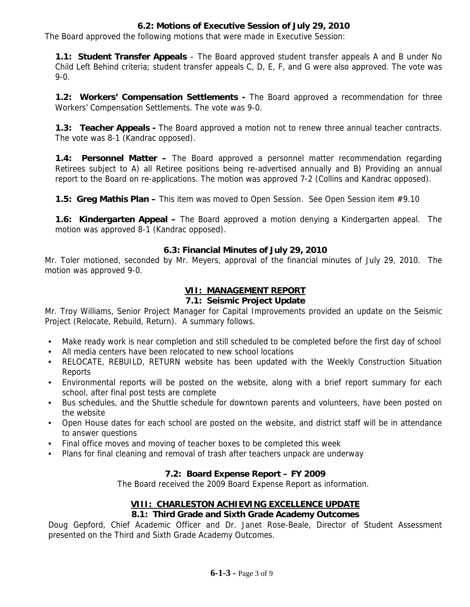### **6.2: Motions of Executive Session of July 29, 2010**

The Board approved the following motions that were made in Executive Session:

**1.1: Student Transfer Appeals** – The Board approved student transfer appeals A and B under No Child Left Behind criteria; student transfer appeals C, D, E, F, and G were also approved. The vote was 9-0.

**1.2: Workers' Compensation Settlements -** The Board approved a recommendation for three Workers' Compensation Settlements. The vote was 9-0.

**1.3: Teacher Appeals -** The Board approved a motion not to renew three annual teacher contracts. The vote was 8-1 (Kandrac opposed).

**1.4: Personnel Matter –** The Board approved a personnel matter recommendation regarding Retirees subject to A) all Retiree positions being re-advertised annually and B) Providing an annual report to the Board on re-applications. The motion was approved 7-2 (Collins and Kandrac opposed).

**1.5: Greg Mathis Plan –** This item was moved to Open Session. See Open Session item #9.10

**1.6: Kindergarten Appeal –** The Board approved a motion denying a Kindergarten appeal. The motion was approved 8-1 (Kandrac opposed).

#### **6.3: Financial Minutes of July 29, 2010**

Mr. Toler motioned, seconded by Mr. Meyers, approval of the financial minutes of July 29, 2010. The motion was approved 9-0.

## **VII: MANAGEMENT REPORT**

## **7.1: Seismic Project Update**

Mr. Troy Williams, Senior Project Manager for Capital Improvements provided an update on the Seismic Project (Relocate, Rebuild, Return). A summary follows.

- Make ready work is near completion and still scheduled to be completed before the first day of school
- All media centers have been relocated to new school locations
- RELOCATE, REBUILD, RETURN website has been updated with the Weekly Construction Situation Reports
- Environmental reports will be posted on the website, along with a brief report summary for each school, after final post tests are complete
- Bus schedules, and the Shuttle schedule for downtown parents and volunteers, have been posted on the website
- Open House dates for each school are posted on the website, and district staff will be in attendance to answer questions
- Final office moves and moving of teacher boxes to be completed this week
- Plans for final cleaning and removal of trash after teachers unpack are underway

#### **7.2: Board Expense Report – FY 2009**

The Board received the 2009 Board Expense Report as information.

# **VIII: CHARLESTON ACHIEVING EXCELLENCE UPDATE**

# **8.1: Third Grade and Sixth Grade Academy Outcomes**

Doug Gepford, Chief Academic Officer and Dr. Janet Rose-Beale, Director of Student Assessment presented on the Third and Sixth Grade Academy Outcomes.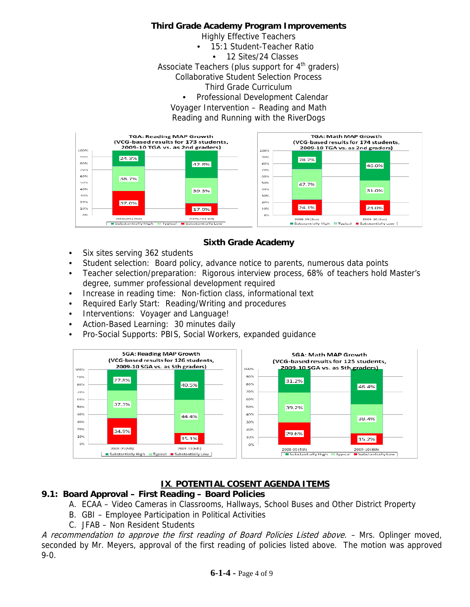#### **Third Grade Academy Program Improvements**

Highly Effective Teachers

- 15:1 Student-Teacher Ratio
	- 12 Sites/24 Classes

Associate Teachers (plus support for  $4<sup>th</sup>$  graders)

Collaborative Student Selection Process

Third Grade Curriculum

• Professional Development Calendar

Voyager Intervention – Reading and Math

Reading and Running with the RiverDogs



# **Sixth Grade Academy**

- Six sites serving 362 students
- Student selection: Board policy, advance notice to parents, numerous data points
- Teacher selection/preparation: Rigorous interview process, 68% of teachers hold Master's degree, summer professional development required
- Increase in reading time: Non-fiction class, informational text
- Required Early Start: Reading/Writing and procedures
- Interventions: Voyager and Language!
- Action-Based Learning: 30 minutes daily
- Pro-Social Supports: PBIS, Social Workers, expanded guidance



# **IX**. **POTENTIAL COSENT AGENDA ITEMS**

## **9.1: Board Approval – First Reading – Board Policies**

- A. ECAA Video Cameras in Classrooms, Hallways, School Buses and Other District Property
- B. GBI Employee Participation in Political Activities
- C. JFAB Non Resident Students

A recommendation to approve the first reading of Board Policies Listed above. – Mrs. Oplinger moved, seconded by Mr. Meyers, approval of the first reading of policies listed above. The motion was approved 9-0.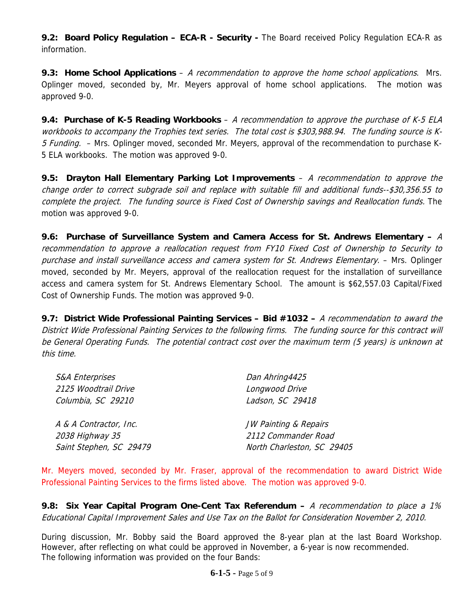**9.2: Board Policy Regulation - ECA-R - Security - The Board received Policy Regulation ECA-R as** information.

**9.3: Home School Applications** – A recommendation to approve the home school applications. Mrs. Oplinger moved, seconded by, Mr. Meyers approval of home school applications. The motion was approved 9-0.

**9.4: Purchase of K-5 Reading Workbooks** – A recommendation to approve the purchase of K-5 ELA workbooks to accompany the Trophies text series. The total cost is \$303,988.94. The funding source is K-5 Funding. - Mrs. Oplinger moved, seconded Mr. Meyers, approval of the recommendation to purchase K-5 ELA workbooks. The motion was approved 9-0.

**9.5: Drayton Hall Elementary Parking Lot Improvements** – A recommendation to approve the change order to correct subgrade soil and replace with suitable fill and additional funds--\$30,356.55 to complete the project. The funding source is Fixed Cost of Ownership savings and Reallocation funds. The motion was approved 9-0.

**9.6: Purchase of Surveillance System and Camera Access for St. Andrews Elementary –** A recommendation to approve a reallocation request from FY10 Fixed Cost of Ownership to Security to purchase and install surveillance access and camera system for St. Andrews Elementary. – Mrs. Oplinger moved, seconded by Mr. Meyers, approval of the reallocation request for the installation of surveillance access and camera system for St. Andrews Elementary School. The amount is \$62,557.03 Capital/Fixed Cost of Ownership Funds. The motion was approved 9-0.

**9.7: District Wide Professional Painting Services – Bid #1032 –** A recommendation to award the District Wide Professional Painting Services to the following firms. The funding source for this contract will be General Operating Funds. The potential contract cost over the maximum term (5 years) is unknown at this time.

| <b>S&amp;A Enterprises</b> | Dan Ahring4425             |
|----------------------------|----------------------------|
| 2125 Woodtrail Drive       | Longwood Drive             |
| Columbia, SC 29210         | Ladson, SC 29418           |
| A & A Contractor, Inc.     | JW Painting & Repairs      |
| 2038 Highway 35            | 2112 Commander Road        |
| Saint Stephen, SC 29479    | North Charleston, SC 29405 |

Mr. Meyers moved, seconded by Mr. Fraser, approval of the recommendation to award District Wide Professional Painting Services to the firms listed above. The motion was approved 9-0.

**9.8: Six Year Capital Program One-Cent Tax Referendum –** A recommendation to place a 1% Educational Capital Improvement Sales and Use Tax on the Ballot for Consideration November 2, 2010.

During discussion, Mr. Bobby said the Board approved the 8-year plan at the last Board Workshop. However, after reflecting on what could be approved in November, a 6-year is now recommended. The following information was provided on the four Bands: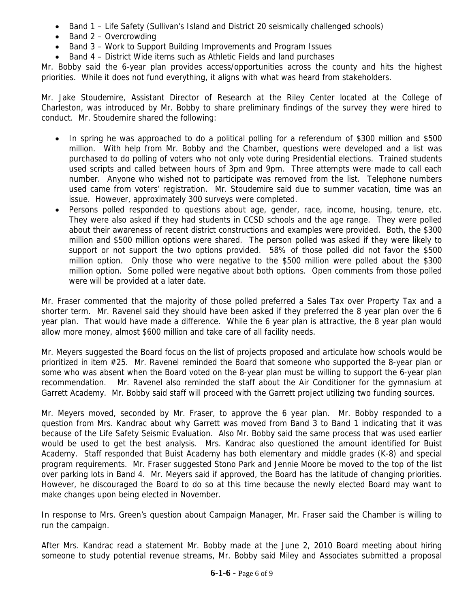- Band 1 Life Safety (Sullivan's Island and District 20 seismically challenged schools)
- Band 2 Overcrowding
- Band 3 Work to Support Building Improvements and Program Issues
- Band 4 District Wide items such as Athletic Fields and land purchases

Mr. Bobby said the 6-year plan provides access/opportunities across the county and hits the highest priorities. While it does not fund everything, it aligns with what was heard from stakeholders.

Mr. Jake Stoudemire, Assistant Director of Research at the Riley Center located at the College of Charleston, was introduced by Mr. Bobby to share preliminary findings of the survey they were hired to conduct. Mr. Stoudemire shared the following:

- In spring he was approached to do a political polling for a referendum of \$300 million and \$500 million. With help from Mr. Bobby and the Chamber, questions were developed and a list was purchased to do polling of voters who not only vote during Presidential elections. Trained students used scripts and called between hours of 3pm and 9pm. Three attempts were made to call each number. Anyone who wished not to participate was removed from the list. Telephone numbers used came from voters' registration. Mr. Stoudemire said due to summer vacation, time was an issue. However, approximately 300 surveys were completed.
- Persons polled responded to questions about age, gender, race, income, housing, tenure, etc. They were also asked if they had students in CCSD schools and the age range. They were polled about their awareness of recent district constructions and examples were provided. Both, the \$300 million and \$500 million options were shared. The person polled was asked if they were likely to support or not support the two options provided. 58% of those polled did not favor the \$500 million option. Only those who were negative to the \$500 million were polled about the \$300 million option. Some polled were negative about both options. Open comments from those polled were will be provided at a later date.

Mr. Fraser commented that the majority of those polled preferred a Sales Tax over Property Tax and a shorter term. Mr. Ravenel said they should have been asked if they preferred the 8 year plan over the 6 year plan. That would have made a difference. While the 6 year plan is attractive, the 8 year plan would allow more money, almost \$600 million and take care of all facility needs.

Mr. Meyers suggested the Board focus on the list of projects proposed and articulate how schools would be prioritized in item #25. Mr. Ravenel reminded the Board that someone who supported the 8-year plan or some who was absent when the Board voted on the 8-year plan must be willing to support the 6-year plan recommendation. Mr. Ravenel also reminded the staff about the Air Conditioner for the gymnasium at Garrett Academy. Mr. Bobby said staff will proceed with the Garrett project utilizing two funding sources.

Mr. Meyers moved, seconded by Mr. Fraser, to approve the 6 year plan. Mr. Bobby responded to a question from Mrs. Kandrac about why Garrett was moved from Band 3 to Band 1 indicating that it was because of the Life Safety Seismic Evaluation. Also Mr. Bobby said the same process that was used earlier would be used to get the best analysis. Mrs. Kandrac also questioned the amount identified for Buist Academy. Staff responded that Buist Academy has both elementary and middle grades (K-8) and special program requirements. Mr. Fraser suggested Stono Park and Jennie Moore be moved to the top of the list over parking lots in Band 4. Mr. Meyers said if approved, the Board has the latitude of changing priorities. However, he discouraged the Board to do so at this time because the newly elected Board may want to make changes upon being elected in November.

In response to Mrs. Green's question about Campaign Manager, Mr. Fraser said the Chamber is willing to run the campaign.

After Mrs. Kandrac read a statement Mr. Bobby made at the June 2, 2010 Board meeting about hiring someone to study potential revenue streams, Mr. Bobby said Miley and Associates submitted a proposal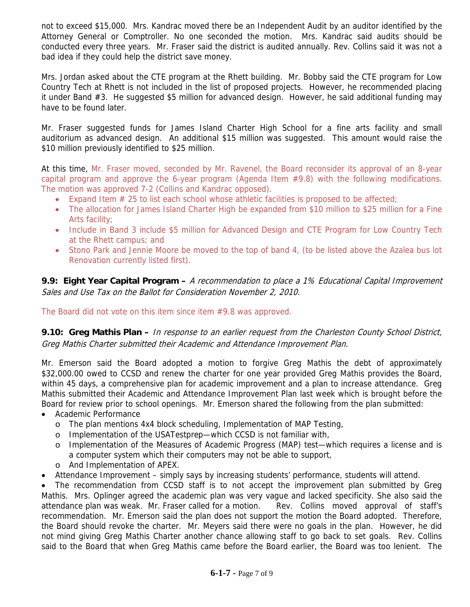not to exceed \$15,000. Mrs. Kandrac moved there be an Independent Audit by an auditor identified by the Attorney General or Comptroller. No one seconded the motion. Mrs. Kandrac said audits should be conducted every three years. Mr. Fraser said the district is audited annually. Rev. Collins said it was not a bad idea if they could help the district save money.

Mrs. Jordan asked about the CTE program at the Rhett building. Mr. Bobby said the CTE program for Low Country Tech at Rhett is not included in the list of proposed projects. However, he recommended placing it under Band #3. He suggested \$5 million for advanced design. However, he said additional funding may have to be found later.

Mr. Fraser suggested funds for James Island Charter High School for a fine arts facility and small auditorium as advanced design. An additional \$15 million was suggested. This amount would raise the \$10 million previously identified to \$25 million.

At this time, Mr. Fraser moved, seconded by Mr. Ravenel, the Board reconsider its approval of an 8-year capital program and approve the 6-year program (Agenda Item #9.8) with the following modifications. The motion was approved 7-2 (Collins and Kandrac opposed).

- Expand Item  $# 25$  to list each school whose athletic facilities is proposed to be affected;
- The allocation for James Island Charter High be expanded from \$10 million to \$25 million for a Fine Arts facility;
- Include in Band 3 include \$5 million for Advanced Design and CTE Program for Low Country Tech at the Rhett campus; and
- Stono Park and Jennie Moore be moved to the top of band 4, (to be listed above the Azalea bus lot Renovation currently listed first).

**9.9: Eight Year Capital Program –** A recommendation to place a 1% Educational Capital Improvement Sales and Use Tax on the Ballot for Consideration November 2, 2010.

The Board did not vote on this item since item #9.8 was approved.

**9.10: Greg Mathis Plan –** In response to an earlier request from the Charleston County School District, Greg Mathis Charter submitted their Academic and Attendance Improvement Plan.

Mr. Emerson said the Board adopted a motion to forgive Greg Mathis the debt of approximately \$32,000.00 owed to CCSD and renew the charter for one year provided Greg Mathis provides the Board, within 45 days, a comprehensive plan for academic improvement and a plan to increase attendance. Greg Mathis submitted their Academic and Attendance Improvement Plan last week which is brought before the Board for review prior to school openings. Mr. Emerson shared the following from the plan submitted:

- Academic Performance
	- $\circ$  The plan mentions 4x4 block scheduling, Implementation of MAP Testing,
	- o Implementation of the USATestprep—which CCSD is not familiar with,
	- o Implementation of the Measures of Academic Progress (MAP) test—which requires a license and is a computer system which their computers may not be able to support,
	- o And Implementation of APEX.
- Attendance Improvement simply says by increasing students' performance, students will attend.

• The recommendation from CCSD staff is to not accept the improvement plan submitted by Greg Mathis. Mrs. Oplinger agreed the academic plan was very vague and lacked specificity. She also said the attendance plan was weak. Mr. Fraser called for a motion. Rev. Collins moved approval of staff's recommendation. Mr. Emerson said the plan does not support the motion the Board adopted. Therefore, the Board should revoke the charter. Mr. Meyers said there were no goals in the plan. However, he did not mind giving Greg Mathis Charter another chance allowing staff to go back to set goals. Rev. Collins said to the Board that when Greg Mathis came before the Board earlier, the Board was too lenient. The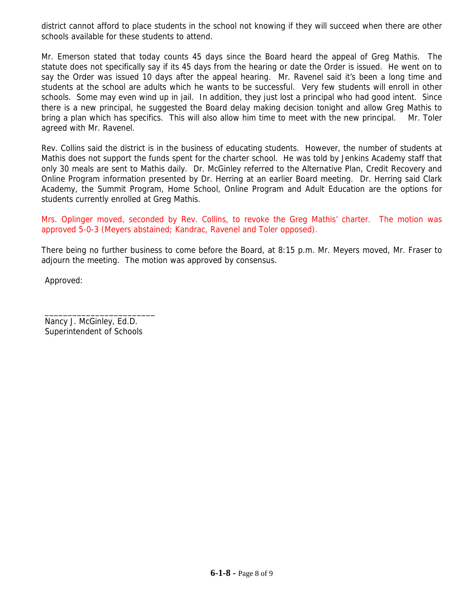district cannot afford to place students in the school not knowing if they will succeed when there are other schools available for these students to attend.

Mr. Emerson stated that today counts 45 days since the Board heard the appeal of Greg Mathis. The statute does not specifically say if its 45 days from the hearing or date the Order is issued. He went on to say the Order was issued 10 days after the appeal hearing. Mr. Ravenel said it's been a long time and students at the school are adults which he wants to be successful. Very few students will enroll in other schools. Some may even wind up in jail. In addition, they just lost a principal who had good intent. Since there is a new principal, he suggested the Board delay making decision tonight and allow Greg Mathis to bring a plan which has specifics. This will also allow him time to meet with the new principal. Mr. Toler agreed with Mr. Ravenel.

Rev. Collins said the district is in the business of educating students. However, the number of students at Mathis does not support the funds spent for the charter school. He was told by Jenkins Academy staff that only 30 meals are sent to Mathis daily. Dr. McGinley referred to the Alternative Plan, Credit Recovery and Online Program information presented by Dr. Herring at an earlier Board meeting. Dr. Herring said Clark Academy, the Summit Program, Home School, Online Program and Adult Education are the options for students currently enrolled at Greg Mathis.

Mrs. Oplinger moved, seconded by Rev. Collins, to revoke the Greg Mathis' charter. The motion was approved 5-0-3 (Meyers abstained; Kandrac, Ravenel and Toler opposed).

There being no further business to come before the Board, at 8:15 p.m. Mr. Meyers moved, Mr. Fraser to adjourn the meeting. The motion was approved by consensus.

Approved:

Nancy J. McGinley, Ed.D. Superintendent of Schools

\_\_\_\_\_\_\_\_\_\_\_\_\_\_\_\_\_\_\_\_\_\_\_\_